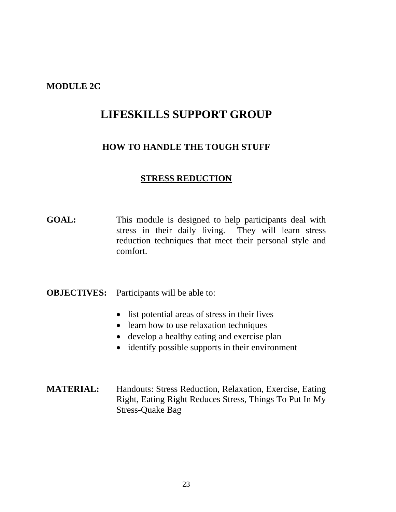#### **MODULE 2C**

### **LIFESKILLS SUPPORT GROUP**

### **HOW TO HANDLE THE TOUGH STUFF**

#### **STRESS REDUCTION**

**GOAL:** This module is designed to help participants deal with stress in their daily living. They will learn stress reduction techniques that meet their personal style and comfort.

### **OBJECTIVES:** Participants will be able to:

- list potential areas of stress in their lives
- learn how to use relaxation techniques
- develop a healthy eating and exercise plan
- identify possible supports in their environment
- **MATERIAL:** Handouts: Stress Reduction, Relaxation, Exercise, Eating Right, Eating Right Reduces Stress, Things To Put In My Stress-Quake Bag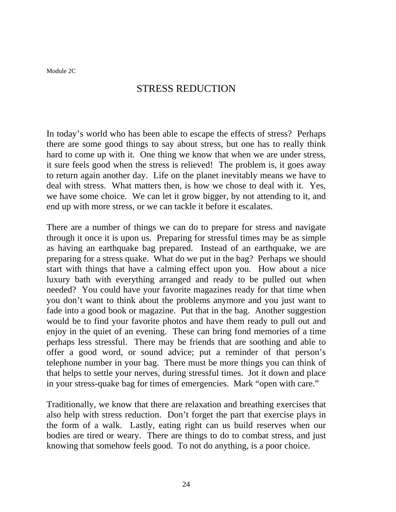### STRESS REDUCTION

In today's world who has been able to escape the effects of stress? Perhaps there are some good things to say about stress, but one has to really think hard to come up with it. One thing we know that when we are under stress, it sure feels good when the stress is relieved! The problem is, it goes away to return again another day. Life on the planet inevitably means we have to deal with stress. What matters then, is how we chose to deal with it. Yes, we have some choice. We can let it grow bigger, by not attending to it, and end up with more stress, or we can tackle it before it escalates.

There are a number of things we can do to prepare for stress and navigate through it once it is upon us. Preparing for stressful times may be as simple as having an earthquake bag prepared. Instead of an earthquake, we are preparing for a stress quake. What do we put in the bag? Perhaps we should start with things that have a calming effect upon you. How about a nice luxury bath with everything arranged and ready to be pulled out when needed? You could have your favorite magazines ready for that time when you don't want to think about the problems anymore and you just want to fade into a good book or magazine. Put that in the bag. Another suggestion would be to find your favorite photos and have them ready to pull out and enjoy in the quiet of an evening. These can bring fond memories of a time perhaps less stressful. There may be friends that are soothing and able to offer a good word, or sound advice; put a reminder of that person's telephone number in your bag. There must be more things you can think of that helps to settle your nerves, during stressful times. Jot it down and place in your stress-quake bag for times of emergencies. Mark "open with care."

Traditionally, we know that there are relaxation and breathing exercises that also help with stress reduction. Don't forget the part that exercise plays in the form of a walk. Lastly, eating right can us build reserves when our bodies are tired or weary. There are things to do to combat stress, and just knowing that somehow feels good. To not do anything, is a poor choice.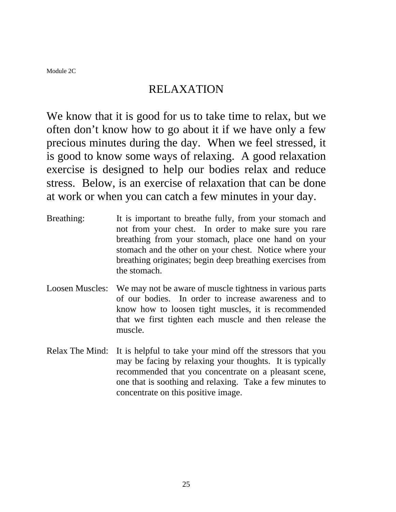### RELAXATION

We know that it is good for us to take time to relax, but we often don't know how to go about it if we have only a few precious minutes during the day. When we feel stressed, it is good to know some ways of relaxing. A good relaxation exercise is designed to help our bodies relax and reduce stress. Below, is an exercise of relaxation that can be done at work or when you can catch a few minutes in your day.

- Breathing: It is important to breathe fully, from your stomach and not from your chest. In order to make sure you rare breathing from your stomach, place one hand on your stomach and the other on your chest. Notice where your breathing originates; begin deep breathing exercises from the stomach.
- Loosen Muscles: We may not be aware of muscle tightness in various parts of our bodies. In order to increase awareness and to know how to loosen tight muscles, it is recommended that we first tighten each muscle and then release the muscle.
- Relax The Mind: It is helpful to take your mind off the stressors that you may be facing by relaxing your thoughts. It is typically recommended that you concentrate on a pleasant scene, one that is soothing and relaxing. Take a few minutes to concentrate on this positive image.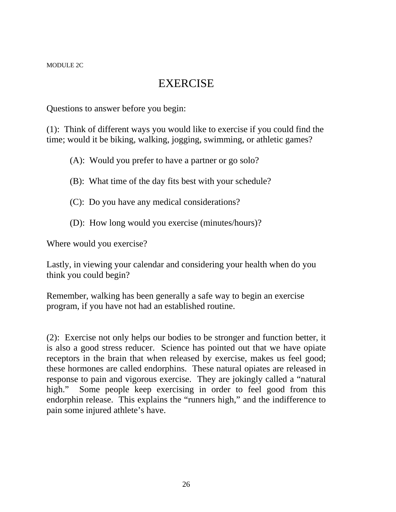MODULE 2C

# EXERCISE

Questions to answer before you begin:

(1): Think of different ways you would like to exercise if you could find the time; would it be biking, walking, jogging, swimming, or athletic games?

(A): Would you prefer to have a partner or go solo?

(B): What time of the day fits best with your schedule?

- (C): Do you have any medical considerations?
- (D): How long would you exercise (minutes/hours)?

Where would you exercise?

Lastly, in viewing your calendar and considering your health when do you think you could begin?

Remember, walking has been generally a safe way to begin an exercise program, if you have not had an established routine.

(2): Exercise not only helps our bodies to be stronger and function better, it is also a good stress reducer. Science has pointed out that we have opiate receptors in the brain that when released by exercise, makes us feel good; these hormones are called endorphins. These natural opiates are released in response to pain and vigorous exercise. They are jokingly called a "natural high." Some people keep exercising in order to feel good from this endorphin release. This explains the "runners high," and the indifference to pain some injured athlete's have.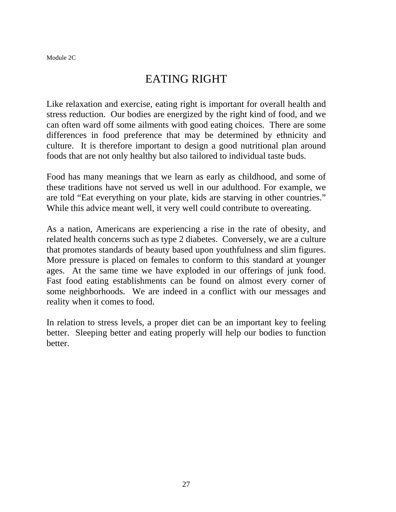## EATING RIGHT

Like relaxation and exercise, eating right is important for overall health and stress reduction. Our bodies are energized by the right kind of food, and we can often ward off some ailments with good eating choices. There are some differences in food preference that may be determined by ethnicity and culture. It is therefore important to design a good nutritional plan around foods that are not only healthy but also tailored to individual taste buds.

Food has many meanings that we learn as early as childhood, and some of these traditions have not served us well in our adulthood. For example, we are told "Eat everything on your plate, kids are starving in other countries." While this advice meant well, it very well could contribute to overeating.

As a nation, Americans are experiencing a rise in the rate of obesity, and related health concerns such as type 2 diabetes. Conversely, we are a culture that promotes standards of beauty based upon youthfulness and slim figures. More pressure is placed on females to conform to this standard at younger ages. At the same time we have exploded in our offerings of junk food. Fast food eating establishments can be found on almost every corner of some neighborhoods. We are indeed in a conflict with our messages and reality when it comes to food.

In relation to stress levels, a proper diet can be an important key to feeling better. Sleeping better and eating properly will help our bodies to function better.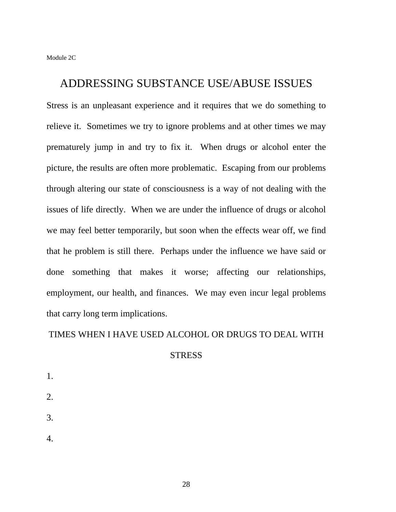### ADDRESSING SUBSTANCE USE/ABUSE ISSUES

Stress is an unpleasant experience and it requires that we do something to relieve it. Sometimes we try to ignore problems and at other times we may prematurely jump in and try to fix it. When drugs or alcohol enter the picture, the results are often more problematic. Escaping from our problems through altering our state of consciousness is a way of not dealing with the issues of life directly. When we are under the influence of drugs or alcohol we may feel better temporarily, but soon when the effects wear off, we find that he problem is still there. Perhaps under the influence we have said or done something that makes it worse; affecting our relationships, employment, our health, and finances. We may even incur legal problems that carry long term implications.

#### TIMES WHEN I HAVE USED ALCOHOL OR DRUGS TO DEAL WITH

#### STRESS

1. 2. 3. 4.